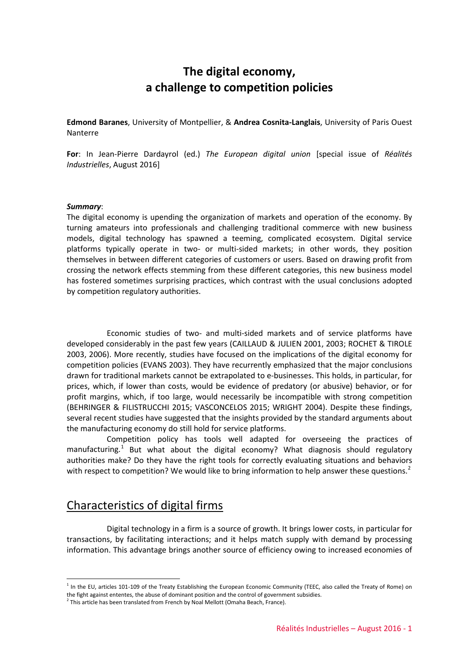# **The digital economy, a challenge to competition policies**

**Edmond Baranes**, University of Montpellier, & **Andrea Cosnita-Langlais**, University of Paris Ouest Nanterre

**For**: In Jean-Pierre Dardayrol (ed.) *The European digital union* [special issue of *Réalités Industrielles*, August 2016]

#### *Summary*:

 $\overline{a}$ 

The digital economy is upending the organization of markets and operation of the economy. By turning amateurs into professionals and challenging traditional commerce with new business models, digital technology has spawned a teeming, complicated ecosystem. Digital service platforms typically operate in two- or multi-sided markets; in other words, they position themselves in between different categories of customers or users. Based on drawing profit from crossing the network effects stemming from these different categories, this new business model has fostered sometimes surprising practices, which contrast with the usual conclusions adopted by competition regulatory authorities.

Economic studies of two- and multi-sided markets and of service platforms have developed considerably in the past few years (CAILLAUD & JULIEN 2001, 2003; ROCHET & TIROLE 2003, 2006). More recently, studies have focused on the implications of the digital economy for competition policies (EVANS 2003). They have recurrently emphasized that the major conclusions drawn for traditional markets cannot be extrapolated to e-businesses. This holds, in particular, for prices, which, if lower than costs, would be evidence of predatory (or abusive) behavior, or for profit margins, which, if too large, would necessarily be incompatible with strong competition (BEHRINGER & FILISTRUCCHI 2015; VASCONCELOS 2015; WRIGHT 2004). Despite these findings, several recent studies have suggested that the insights provided by the standard arguments about the manufacturing economy do still hold for service platforms.

Competition policy has tools well adapted for overseeing the practices of manufacturing.<sup>[1](#page-0-0)</sup> But what about the digital economy? What diagnosis should regulatory authorities make? Do they have the right tools for correctly evaluating situations and behaviors with respect to competition? We would like to bring information to help answer these questions.<sup>[2](#page-0-1)</sup>

#### Characteristics of digital firms

Digital technology in a firm is a source of growth. It brings lower costs, in particular for transactions, by facilitating interactions; and it helps match supply with demand by processing information. This advantage brings another source of efficiency owing to increased economies of

<span id="page-0-0"></span> $1$  In the EU, articles 101-109 of the Treaty Establishing the European Economic Community (TEEC, also called the Treaty of Rome) on the fight against ententes, the abuse of dominant position and the control of government subsidies.

<span id="page-0-1"></span> $^2$  This article has been translated from French by Noal Mellott (Omaha Beach, France).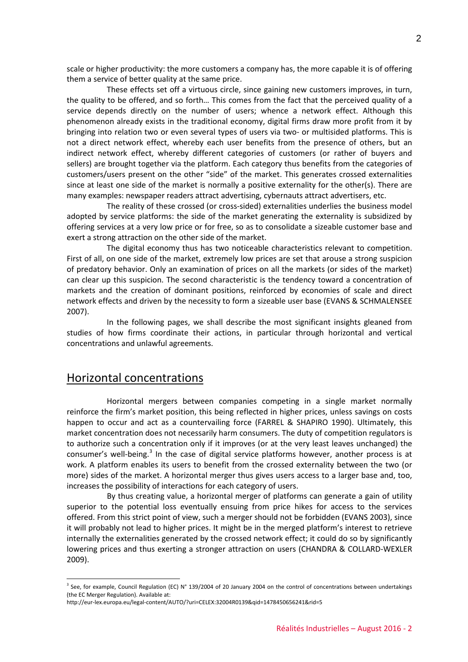scale or higher productivity: the more customers a company has, the more capable it is of offering them a service of better quality at the same price.

These effects set off a virtuous circle, since gaining new customers improves, in turn, the quality to be offered, and so forth… This comes from the fact that the perceived quality of a service depends directly on the number of users; whence a network effect. Although this phenomenon already exists in the traditional economy, digital firms draw more profit from it by bringing into relation two or even several types of users via two- or multisided platforms. This is not a direct network effect, whereby each user benefits from the presence of others, but an indirect network effect, whereby different categories of customers (or rather of buyers and sellers) are brought together via the platform. Each category thus benefits from the categories of customers/users present on the other "side" of the market. This generates crossed externalities since at least one side of the market is normally a positive externality for the other(s). There are many examples: newspaper readers attract advertising, cybernauts attract advertisers, etc.

The reality of these crossed (or cross-sided) externalities underlies the business model adopted by service platforms: the side of the market generating the externality is subsidized by offering services at a very low price or for free, so as to consolidate a sizeable customer base and exert a strong attraction on the other side of the market.

The digital economy thus has two noticeable characteristics relevant to competition. First of all, on one side of the market, extremely low prices are set that arouse a strong suspicion of predatory behavior. Only an examination of prices on all the markets (or sides of the market) can clear up this suspicion. The second characteristic is the tendency toward a concentration of markets and the creation of dominant positions, reinforced by economies of scale and direct network effects and driven by the necessity to form a sizeable user base (EVANS & SCHMALENSEE 2007).

In the following pages, we shall describe the most significant insights gleaned from studies of how firms coordinate their actions, in particular through horizontal and vertical concentrations and unlawful agreements.

#### Horizontal concentrations

 $\overline{a}$ 

Horizontal mergers between companies competing in a single market normally reinforce the firm's market position, this being reflected in higher prices, unless savings on costs happen to occur and act as a countervailing force (FARREL & SHAPIRO 1990). Ultimately, this market concentration does not necessarily harm consumers. The duty of competition regulators is to authorize such a concentration only if it improves (or at the very least leaves unchanged) the consumer's well-being.<sup>[3](#page-1-0)</sup> In the case of digital service platforms however, another process is at work. A platform enables its users to benefit from the crossed externality between the two (or more) sides of the market. A horizontal merger thus gives users access to a larger base and, too, increases the possibility of interactions for each category of users.

By thus creating value, a horizontal merger of platforms can generate a gain of utility superior to the potential loss eventually ensuing from price hikes for access to the services offered. From this strict point of view, such a merger should not be forbidden (EVANS 2003), since it will probably not lead to higher prices. It might be in the merged platform's interest to retrieve internally the externalities generated by the crossed network effect; it could do so by significantly lowering prices and thus exerting a stronger attraction on users (CHANDRA & COLLARD-WEXLER 2009).

<span id="page-1-0"></span> $3$  See, for example, Council Regulation (EC) N° 139/2004 of 20 January 2004 on the control of concentrations between undertakings (the EC Merger Regulation). Available at:

http://eur-lex.europa.eu/legal-content/AUTO/?uri=CELEX:32004R0139&qid=1478450656241&rid=5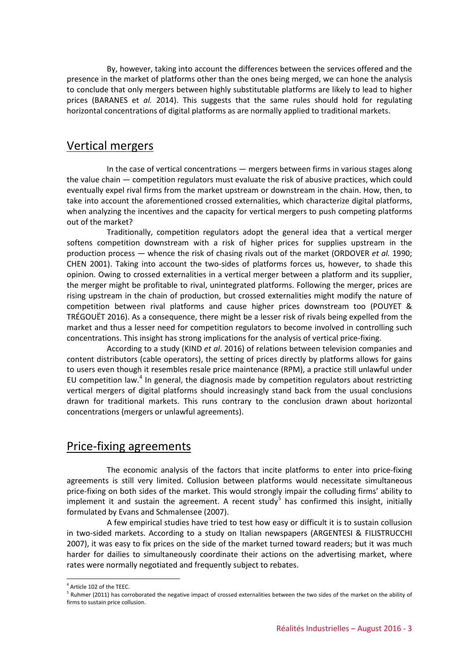By, however, taking into account the differences between the services offered and the presence in the market of platforms other than the ones being merged, we can hone the analysis to conclude that only mergers between highly substitutable platforms are likely to lead to higher prices (BARANES et *al.* 2014). This suggests that the same rules should hold for regulating horizontal concentrations of digital platforms as are normally applied to traditional markets.

#### Vertical mergers

In the case of vertical concentrations — mergers between firms in various stages along the value chain — competition regulators must evaluate the risk of abusive practices, which could eventually expel rival firms from the market upstream or downstream in the chain. How, then, to take into account the aforementioned crossed externalities, which characterize digital platforms, when analyzing the incentives and the capacity for vertical mergers to push competing platforms out of the market?

Traditionally, competition regulators adopt the general idea that a vertical merger softens competition downstream with a risk of higher prices for supplies upstream in the production process — whence the risk of chasing rivals out of the market (ORDOVER *et al.* 1990; CHEN 2001). Taking into account the two-sides of platforms forces us, however, to shade this opinion. Owing to crossed externalities in a vertical merger between a platform and its supplier, the merger might be profitable to rival, unintegrated platforms. Following the merger, prices are rising upstream in the chain of production, but crossed externalities might modify the nature of competition between rival platforms and cause higher prices downstream too (POUYET & TRÉGOUËT 2016). As a consequence, there might be a lesser risk of rivals being expelled from the market and thus a lesser need for competition regulators to become involved in controlling such concentrations. This insight has strong implications for the analysis of vertical price-fixing.

According to a study (KIND *et al*. 2016) of relations between television companies and content distributors (cable operators), the setting of prices directly by platforms allows for gains to users even though it resembles resale price maintenance (RPM), a practice still unlawful under EU competition law.<sup>[4](#page-2-0)</sup> In general, the diagnosis made by competition regulators about restricting vertical mergers of digital platforms should increasingly stand back from the usual conclusions drawn for traditional markets. This runs contrary to the conclusion drawn about horizontal concentrations (mergers or unlawful agreements).

## Price-fixing agreements

The economic analysis of the factors that incite platforms to enter into price-fixing agreements is still very limited. Collusion between platforms would necessitate simultaneous price-fixing on both sides of the market. This would strongly impair the colluding firms' ability to implement it and sustain the agreement. A recent study<sup>[5](#page-2-1)</sup> has confirmed this insight, initially formulated by Evans and Schmalensee (2007).

A few empirical studies have tried to test how easy or difficult it is to sustain collusion in two-sided markets. According to a study on Italian newspapers (ARGENTESI & FILISTRUCCHI 2007), it was easy to fix prices on the side of the market turned toward readers; but it was much harder for dailies to simultaneously coordinate their actions on the advertising market, where rates were normally negotiated and frequently subject to rebates.

 $\overline{a}$  $4$  Article 102 of the TEEC.

<span id="page-2-1"></span><span id="page-2-0"></span><sup>&</sup>lt;sup>5</sup> Ruhmer (2011) has corroborated the negative impact of crossed externalities between the two sides of the market on the ability of firms to sustain price collusion.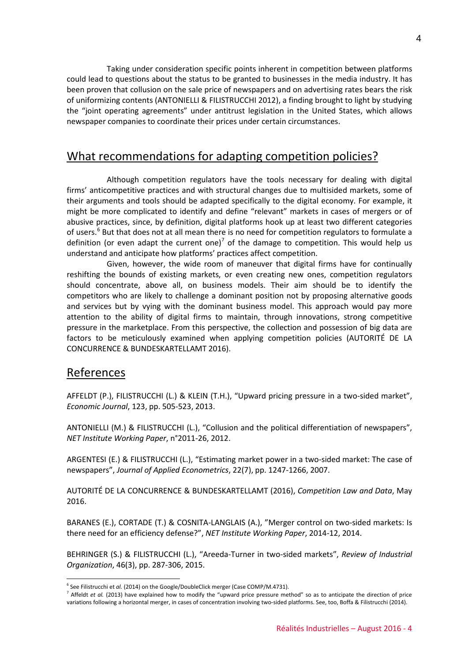Taking under consideration specific points inherent in competition between platforms could lead to questions about the status to be granted to businesses in the media industry. It has been proven that collusion on the sale price of newspapers and on advertising rates bears the risk of uniformizing contents (ANTONIELLI & FILISTRUCCHI 2012), a finding brought to light by studying the "joint operating agreements" under antitrust legislation in the United States, which allows newspaper companies to coordinate their prices under certain circumstances.

### What recommendations for adapting competition policies?

Although competition regulators have the tools necessary for dealing with digital firms' anticompetitive practices and with structural changes due to multisided markets, some of their arguments and tools should be adapted specifically to the digital economy. For example, it might be more complicated to identify and define "relevant" markets in cases of mergers or of abusive practices, since, by definition, digital platforms hook up at least two different categories of users.<sup>[6](#page-3-0)</sup> But that does not at all mean there is no need for competition regulators to formulate a definition (or even adapt the current one)<sup>[7](#page-3-1)</sup> of the damage to competition. This would help us understand and anticipate how platforms' practices affect competition.

Given, however, the wide room of maneuver that digital firms have for continually reshifting the bounds of existing markets, or even creating new ones, competition regulators should concentrate, above all, on business models. Their aim should be to identify the competitors who are likely to challenge a dominant position not by proposing alternative goods and services but by vying with the dominant business model. This approach would pay more attention to the ability of digital firms to maintain, through innovations, strong competitive pressure in the marketplace. From this perspective, the collection and possession of big data are factors to be meticulously examined when applying competition policies (AUTORITÉ DE LA CONCURRENCE & BUNDESKARTELLAMT 2016).

#### References

 $\overline{a}$ 

AFFELDT (P.), FILISTRUCCHI (L.) & KLEIN (T.H.), "Upward pricing pressure in a two-sided market", *Economic Journal*, 123, pp. 505-523, 2013.

ANTONIELLI (M.) & FILISTRUCCHI (L.), "Collusion and the political differentiation of newspapers", *NET Institute Working Paper*, n°2011-26, 2012.

ARGENTESI (E.) & FILISTRUCCHI (L.), "Estimating market power in a two-sided market: The case of newspapers", *Journal of Applied Econometrics*, 22(7), pp. 1247-1266, 2007.

AUTORITÉ DE LA CONCURRENCE & BUNDESKARTELLAMT (2016), *Competition Law and Data*, May 2016.

BARANES (E.), CORTADE (T.) & COSNITA-LANGLAIS (A.), "Merger control on two-sided markets: Is there need for an efficiency defense?", *NET Institute Working Paper*, 2014-12, 2014.

BEHRINGER (S.) & FILISTRUCCHI (L.), "Areeda-Turner in two-sided markets", *Review of Industrial Organization*, 46(3), pp. 287-306, 2015.

<span id="page-3-0"></span><sup>&</sup>lt;sup>6</sup> See Filistrucchi et *al.* (2014) on the Google/DoubleClick merger (Case COMP/M.4731).

<span id="page-3-1"></span><sup>&</sup>lt;sup>7</sup> Affeldt *et al.* (2013) have explained how to modify the "upward price pressure method" so as to anticipate the direction of price variations following a horizontal merger, in cases of concentration involving two-sided platforms. See, too, Boffa & Filistrucchi (2014).